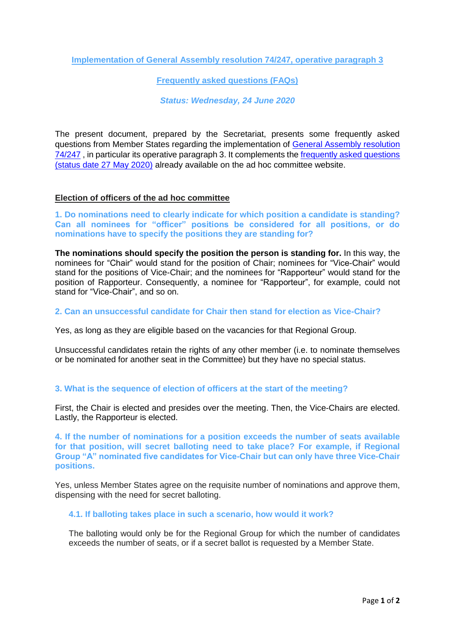**Implementation of General Assembly resolution 74/247, operative paragraph 3**

**Frequently asked questions (FAQs)**

*Status: Wednesday, 24 June 2020*

The present document, prepared by the Secretariat, presents some frequently asked questions from Member States regarding the implementation of [General Assembly resolution](https://documents-dds-ny.un.org/doc/UNDOC/GEN/N19/440/28/pdf/N1944028.pdf?OpenElement)  [74/247](https://documents-dds-ny.un.org/doc/UNDOC/GEN/N19/440/28/pdf/N1944028.pdf?OpenElement) , in particular its operative paragraph 3. It complements the [frequently asked questions](https://www.unodc.org/documents/Cybercrime/AdHocCommittee/Ad_Hoc_Committee_FAQ_29_May_2020.pdf) [\(status date 27 May 2020\)](https://www.unodc.org/documents/Cybercrime/AdHocCommittee/Ad_Hoc_Committee_FAQ_29_May_2020.pdf) already available on the ad hoc committee website.

## **Election of officers of the ad hoc committee**

**1. Do nominations need to clearly indicate for which position a candidate is standing? Can all nominees for "officer" positions be considered for all positions, or do nominations have to specify the positions they are standing for?** 

**The nominations should specify the position the person is standing for.** In this way, the nominees for "Chair" would stand for the position of Chair; nominees for "Vice-Chair" would stand for the positions of Vice-Chair; and the nominees for "Rapporteur" would stand for the position of Rapporteur. Consequently, a nominee for "Rapporteur", for example, could not stand for "Vice-Chair", and so on.

## **2. Can an unsuccessful candidate for Chair then stand for election as Vice-Chair?**

Yes, as long as they are eligible based on the vacancies for that Regional Group.

Unsuccessful candidates retain the rights of any other member (i.e. to nominate themselves or be nominated for another seat in the Committee) but they have no special status.

## **3. What is the sequence of election of officers at the start of the meeting?**

First, the Chair is elected and presides over the meeting. Then, the Vice-Chairs are elected. Lastly, the Rapporteur is elected.

**4. If the number of nominations for a position exceeds the number of seats available for that position, will secret balloting need to take place? For example, if Regional Group "A" nominated five candidates for Vice-Chair but can only have three Vice-Chair positions.**

Yes, unless Member States agree on the requisite number of nominations and approve them, dispensing with the need for secret balloting.

## **4.1. If balloting takes place in such a scenario, how would it work?**

The balloting would only be for the Regional Group for which the number of candidates exceeds the number of seats, or if a secret ballot is requested by a Member State.